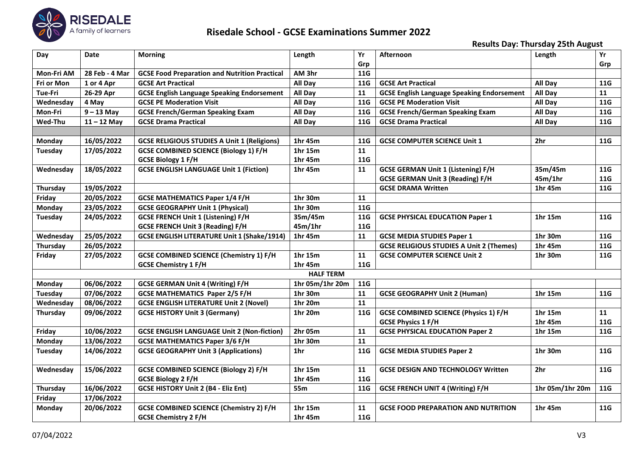

## **Risedale School - GCSE Examinations Summer 2022**

**Results Day: Thursday 25th August**

| Day            | <b>Date</b>    | <b>Morning</b>                                       | Length           | Yr         | <b>Afternoon</b>                                  | Length          | Yr         |
|----------------|----------------|------------------------------------------------------|------------------|------------|---------------------------------------------------|-----------------|------------|
|                |                |                                                      |                  | Grp        |                                                   |                 | Grp        |
| Mon-Fri AM     | 28 Feb - 4 Mar | <b>GCSE Food Preparation and Nutrition Practical</b> | AM 3hr           | <b>11G</b> |                                                   |                 |            |
| Fri or Mon     | 1 or 4 Apr     | <b>GCSE Art Practical</b>                            | All Day          | 11G        | <b>GCSE Art Practical</b>                         | All Day         | 11G        |
| Tue-Fri        | 26-29 Apr      | <b>GCSE English Language Speaking Endorsement</b>    | All Day          | 11         | <b>GCSE English Language Speaking Endorsement</b> | All Day         | 11         |
| Wednesday      | 4 May          | <b>GCSE PE Moderation Visit</b>                      | All Day          | 11G        | <b>GCSE PE Moderation Visit</b>                   | All Day         | 11G        |
| Mon-Fri        | $9 - 13$ May   | <b>GCSE French/German Speaking Exam</b>              | All Day          | <b>11G</b> | <b>GCSE French/German Speaking Exam</b>           | All Day         | 11G        |
| Wed-Thu        | $11 - 12$ May  | <b>GCSE Drama Practical</b>                          | All Day          | <b>11G</b> | <b>GCSE Drama Practical</b>                       | All Day         | <b>11G</b> |
|                |                |                                                      |                  |            |                                                   |                 |            |
| <b>Monday</b>  | 16/05/2022     | <b>GCSE RELIGIOUS STUDIES A Unit 1 (Religions)</b>   | 1hr 45m          | 11G        | <b>GCSE COMPUTER SCIENCE Unit 1</b>               | 2hr             | 11G        |
| <b>Tuesday</b> | 17/05/2022     | <b>GCSE COMBINED SCIENCE (Biology 1) F/H</b>         | 1hr 15m          | 11         |                                                   |                 |            |
|                |                | <b>GCSE Biology 1 F/H</b>                            | 1hr 45m          | <b>11G</b> |                                                   |                 |            |
| Wednesday      | 18/05/2022     | <b>GCSE ENGLISH LANGUAGE Unit 1 (Fiction)</b>        | 1hr 45m          | 11         | <b>GCSE GERMAN Unit 1 (Listening) F/H</b>         | 35m/45m         | 11G        |
|                |                |                                                      |                  |            | <b>GCSE GERMAN Unit 3 (Reading) F/H</b>           | 45m/1hr         | 11G        |
| Thursday       | 19/05/2022     |                                                      |                  |            | <b>GCSE DRAMA Written</b>                         | 1hr 45m         | 11G        |
| Friday         | 20/05/2022     | <b>GCSE MATHEMATICS Paper 1/4 F/H</b>                | 1hr 30m          | 11         |                                                   |                 |            |
| Monday         | 23/05/2022     | <b>GCSE GEOGRAPHY Unit 1 (Physical)</b>              | 1hr 30m          | 11G        |                                                   |                 |            |
| Tuesday        | 24/05/2022     | <b>GCSE FRENCH Unit 1 (Listening) F/H</b>            | 35m/45m          | 11G        | <b>GCSE PHYSICAL EDUCATION Paper 1</b>            | 1hr 15m         | 11G        |
|                |                | <b>GCSE FRENCH Unit 3 (Reading) F/H</b>              | 45m/1hr          | <b>11G</b> |                                                   |                 |            |
| Wednesday      | 25/05/2022     | <b>GCSE ENGLISH LITERATURE Unit 1 (Shake/1914)</b>   | 1hr 45m          | 11         | <b>GCSE MEDIA STUDIES Paper 1</b>                 | 1hr 30m         | 11G        |
| Thursday       | 26/05/2022     |                                                      |                  |            | <b>GCSE RELIGIOUS STUDIES A Unit 2 (Themes)</b>   | 1hr 45m         | 11G        |
| Friday         | 27/05/2022     | <b>GCSE COMBINED SCIENCE (Chemistry 1) F/H</b>       | 1hr 15m          | 11         | <b>GCSE COMPUTER SCIENCE Unit 2</b>               | 1hr 30m         | 11G        |
|                |                | <b>GCSE Chemistry 1 F/H</b>                          | 1hr 45m          | <b>11G</b> |                                                   |                 |            |
|                |                |                                                      | <b>HALF TERM</b> |            |                                                   |                 |            |
| Monday         | 06/06/2022     | <b>GCSE GERMAN Unit 4 (Writing) F/H</b>              | 1hr 05m/1hr 20m  | <b>11G</b> |                                                   |                 |            |
| <b>Tuesday</b> | 07/06/2022     | <b>GCSE MATHEMATICS Paper 2/5 F/H</b>                | 1hr 30m          | 11         | <b>GCSE GEOGRAPHY Unit 2 (Human)</b>              | 1hr 15m         | 11G        |
| Wednesday      | 08/06/2022     | <b>GCSE ENGLISH LITERATURE Unit 2 (Novel)</b>        | 1hr 20m          | 11         |                                                   |                 |            |
| Thursday       | 09/06/2022     | <b>GCSE HISTORY Unit 3 (Germany)</b>                 | 1hr 20m          | <b>11G</b> | <b>GCSE COMBINED SCIENCE (Physics 1) F/H</b>      | 1hr 15m         | 11         |
|                |                |                                                      |                  |            | <b>GCSE Physics 1 F/H</b>                         | 1hr 45m         | <b>11G</b> |
| Friday         | 10/06/2022     | <b>GCSE ENGLISH LANGUAGE Unit 2 (Non-fiction)</b>    | 2hr 05m          | 11         | <b>GCSE PHYSICAL EDUCATION Paper 2</b>            | 1hr 15m         | 11G        |
| <b>Monday</b>  | 13/06/2022     | <b>GCSE MATHEMATICS Paper 3/6 F/H</b>                | 1hr 30m          | 11         |                                                   |                 |            |
| <b>Tuesday</b> | 14/06/2022     | <b>GCSE GEOGRAPHY Unit 3 (Applications)</b>          | 1 <sub>hr</sub>  | 11G        | <b>GCSE MEDIA STUDIES Paper 2</b>                 | 1hr 30m         | 11G        |
| Wednesday      | 15/06/2022     | <b>GCSE COMBINED SCIENCE (Biology 2) F/H</b>         | 1hr 15m          | 11         | <b>GCSE DESIGN AND TECHNOLOGY Written</b>         | 2hr             | 11G        |
|                |                | <b>GCSE Biology 2 F/H</b>                            | 1hr 45m          | <b>11G</b> |                                                   |                 |            |
| Thursday       | 16/06/2022     | <b>GCSE HISTORY Unit 2 (B4 - Eliz Ent)</b>           | <b>55m</b>       | 11G        | <b>GCSE FRENCH UNIT 4 (Writing) F/H</b>           | 1hr 05m/1hr 20m | <b>11G</b> |
| Friday         | 17/06/2022     |                                                      |                  |            |                                                   |                 |            |
| <b>Monday</b>  | 20/06/2022     | <b>GCSE COMBINED SCIENCE (Chemistry 2) F/H</b>       | 1hr 15m          | 11         | <b>GCSE FOOD PREPARATION AND NUTRITION</b>        | 1hr 45m         | 11G        |
|                |                | <b>GCSE Chemistry 2 F/H</b>                          | 1hr 45m          | 11G        |                                                   |                 |            |